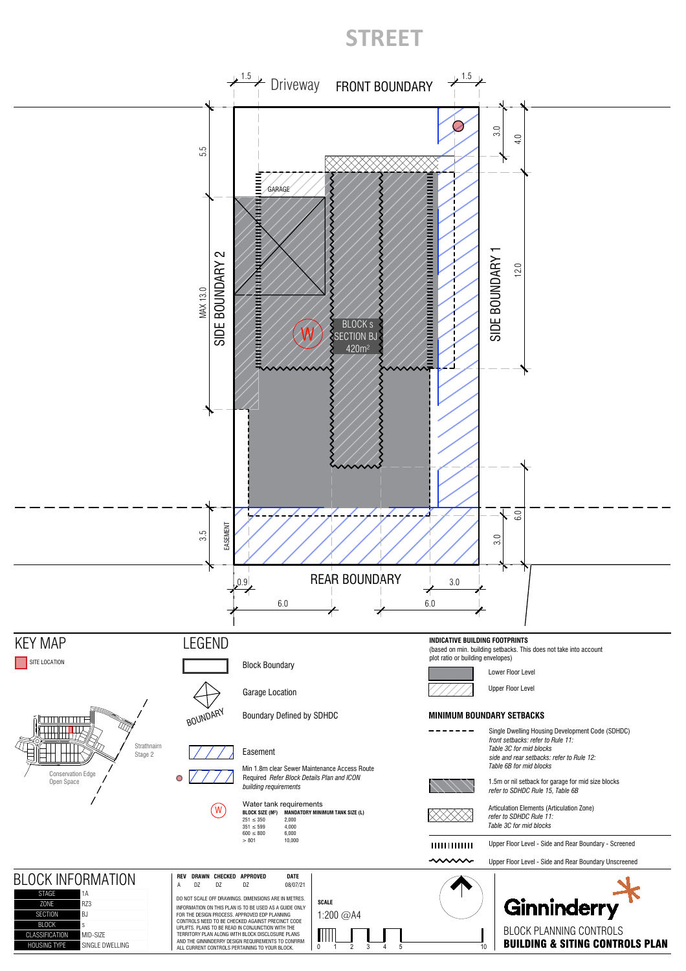## **STREET**